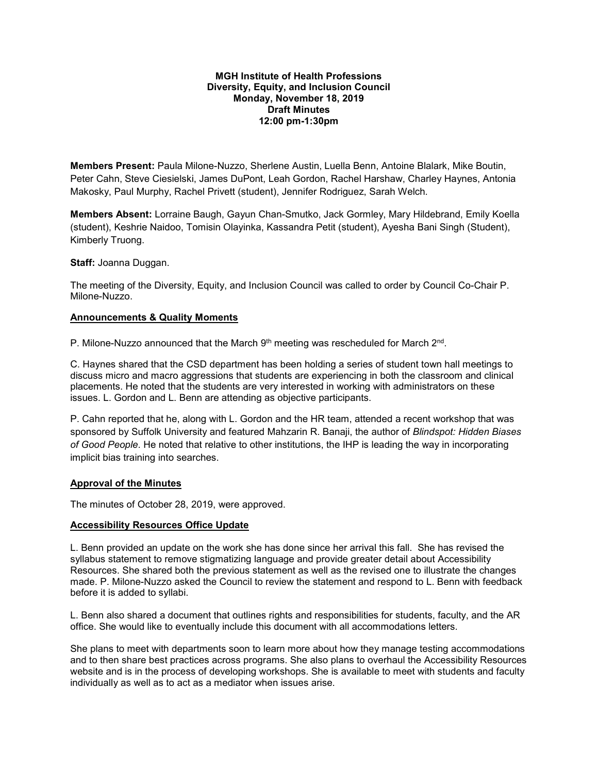### **MGH Institute of Health Professions Diversity, Equity, and Inclusion Council Monday, November 18, 2019 Draft Minutes 12:00 pm-1:30pm**

**Members Present:** Paula Milone-Nuzzo, Sherlene Austin, Luella Benn, Antoine Blalark, Mike Boutin, Peter Cahn, Steve Ciesielski, James DuPont, Leah Gordon, Rachel Harshaw, Charley Haynes, Antonia Makosky, Paul Murphy, Rachel Privett (student), Jennifer Rodriguez, Sarah Welch.

**Members Absent:** Lorraine Baugh, Gayun Chan-Smutko, Jack Gormley, Mary Hildebrand, Emily Koella (student), Keshrie Naidoo, Tomisin Olayinka, Kassandra Petit (student), Ayesha Bani Singh (Student), Kimberly Truong.

**Staff:** Joanna Duggan.

The meeting of the Diversity, Equity, and Inclusion Council was called to order by Council Co-Chair P. Milone-Nuzzo.

### **Announcements & Quality Moments**

P. Milone-Nuzzo announced that the March  $9<sup>th</sup>$  meeting was rescheduled for March  $2<sup>nd</sup>$ .

C. Haynes shared that the CSD department has been holding a series of student town hall meetings to discuss micro and macro aggressions that students are experiencing in both the classroom and clinical placements. He noted that the students are very interested in working with administrators on these issues. L. Gordon and L. Benn are attending as objective participants.

P. Cahn reported that he, along with L. Gordon and the HR team, attended a recent workshop that was sponsored by Suffolk University and featured Mahzarin R. Banaji, the author of *Blindspot: Hidden Biases of Good People*. He noted that relative to other institutions, the IHP is leading the way in incorporating implicit bias training into searches.

### **Approval of the Minutes**

The minutes of October 28, 2019, were approved.

### **Accessibility Resources Office Update**

L. Benn provided an update on the work she has done since her arrival this fall. She has revised the syllabus statement to remove stigmatizing language and provide greater detail about Accessibility Resources. She shared both the previous statement as well as the revised one to illustrate the changes made. P. Milone-Nuzzo asked the Council to review the statement and respond to L. Benn with feedback before it is added to syllabi.

L. Benn also shared a document that outlines rights and responsibilities for students, faculty, and the AR office. She would like to eventually include this document with all accommodations letters.

She plans to meet with departments soon to learn more about how they manage testing accommodations and to then share best practices across programs. She also plans to overhaul the Accessibility Resources website and is in the process of developing workshops. She is available to meet with students and faculty individually as well as to act as a mediator when issues arise.